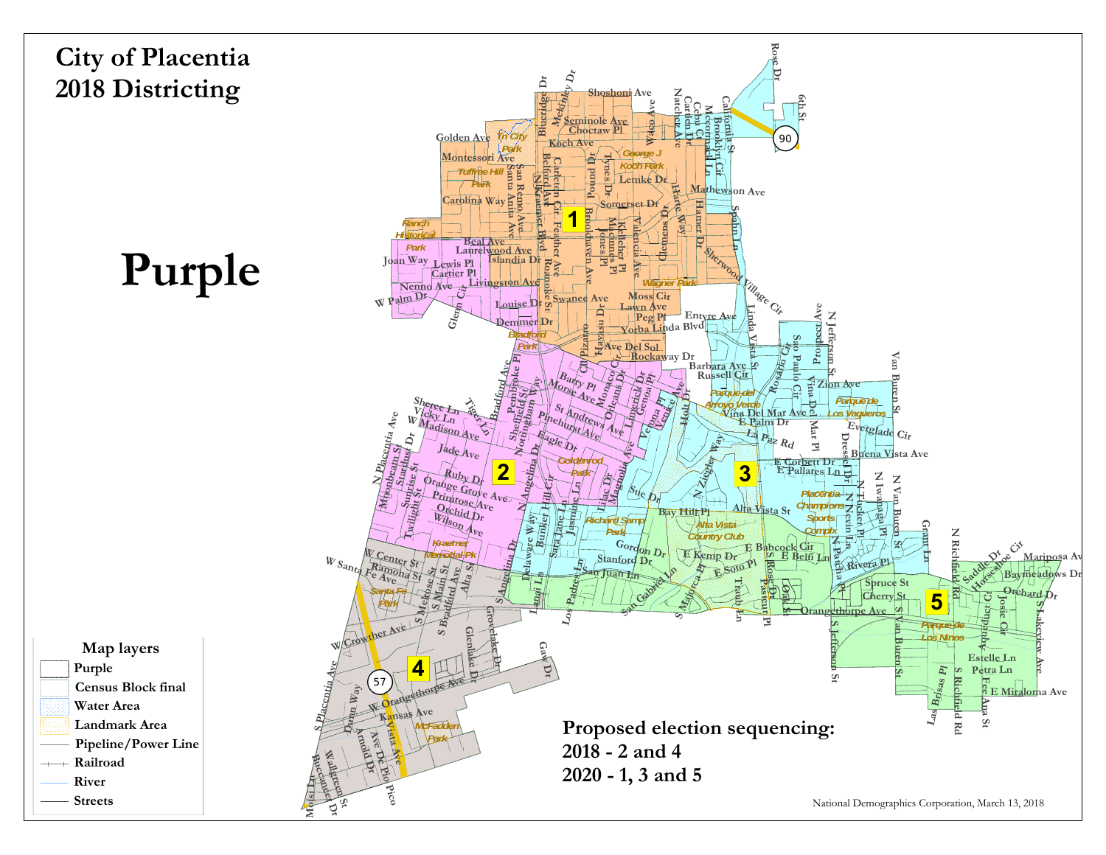